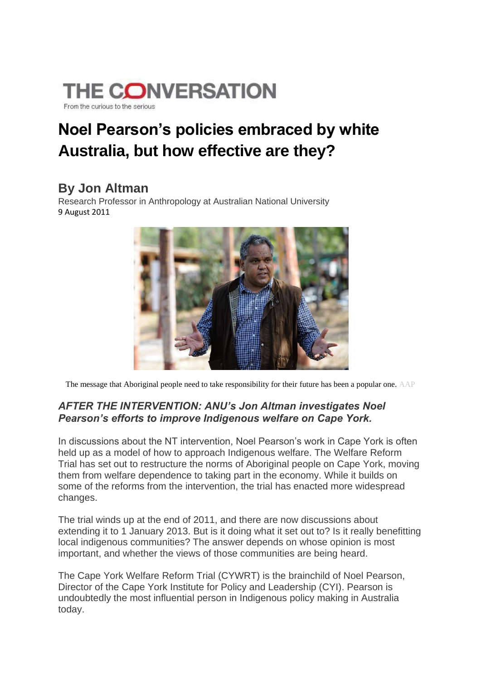

# **Noel Pearson's policies embraced by white Australia, but how effective are they?**

#### **By Jon Altman**

Research Professor in Anthropology at Australian National University 9 August 2011



The message that Aboriginal people need to take responsibility for their future has been a popular one. AAP

#### *AFTER THE INTERVENTION: ANU's Jon Altman investigates Noel Pearson's efforts to improve Indigenous welfare on Cape York.*

In discussions about the NT intervention, Noel Pearson's work in Cape York is often held up as a model of how to approach Indigenous welfare. The Welfare Reform Trial has set out to restructure the norms of Aboriginal people on Cape York, moving them from welfare dependence to taking part in the economy. While it builds on some of the reforms from the intervention, the trial has enacted more widespread changes.

The trial winds up at the end of 2011, and there are now discussions about extending it to 1 January 2013. But is it doing what it set out to? Is it really benefitting local indigenous communities? The answer depends on whose opinion is most important, and whether the views of those communities are being heard.

The Cape York Welfare Reform Trial (CYWRT) is the brainchild of Noel Pearson, Director of the Cape York Institute for Policy and Leadership (CYI). Pearson is undoubtedly the most influential person in Indigenous policy making in Australia today.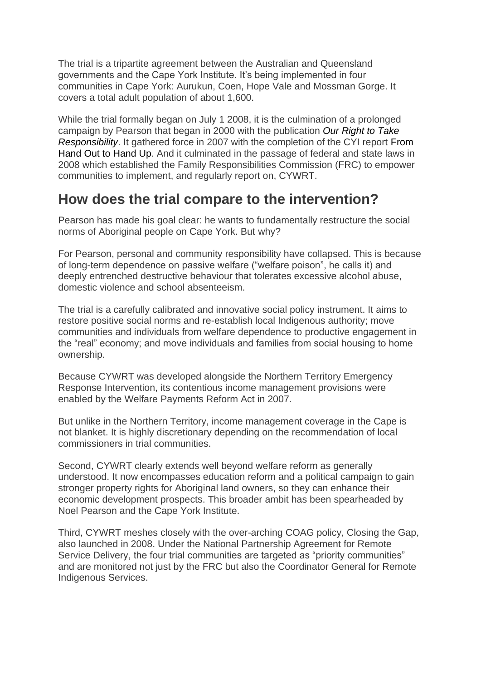The trial is a tripartite agreement between the Australian and Queensland governments and the Cape York Institute. It's being implemented in four communities in Cape York: Aurukun, Coen, Hope Vale and Mossman Gorge. It covers a total adult population of about 1,600.

While the trial formally began on July 1 2008, it is the culmination of a prolonged campaign by Pearson that began in 2000 with the publication *Our Right to Take Responsibility*. It gathered force in 2007 with the completion of the CYI report From Hand Out to Hand Up. And it culminated in the passage of federal and state laws in 2008 which established the Family Responsibilities Commission (FRC) to empower communities to implement, and regularly report on, CYWRT.

#### **How does the trial compare to the intervention?**

Pearson has made his goal clear: he wants to fundamentally restructure the social norms of Aboriginal people on Cape York. But why?

For Pearson, personal and community responsibility have collapsed. This is because of long-term dependence on passive welfare ("welfare poison", he calls it) and deeply entrenched destructive behaviour that tolerates excessive alcohol abuse, domestic violence and school absenteeism.

The trial is a carefully calibrated and innovative social policy instrument. It aims to restore positive social norms and re-establish local Indigenous authority; move communities and individuals from welfare dependence to productive engagement in the "real" economy; and move individuals and families from social housing to home ownership.

Because CYWRT was developed alongside the Northern Territory Emergency Response Intervention, its contentious income management provisions were enabled by the Welfare Payments Reform Act in 2007.

But unlike in the Northern Territory, income management coverage in the Cape is not blanket. It is highly discretionary depending on the recommendation of local commissioners in trial communities.

Second, CYWRT clearly extends well beyond welfare reform as generally understood. It now encompasses education reform and a political campaign to gain stronger property rights for Aboriginal land owners, so they can enhance their economic development prospects. This broader ambit has been spearheaded by Noel Pearson and the Cape York Institute.

Third, CYWRT meshes closely with the over-arching COAG policy, Closing the Gap, also launched in 2008. Under the National Partnership Agreement for Remote Service Delivery, the four trial communities are targeted as "priority communities" and are monitored not just by the FRC but also the Coordinator General for Remote Indigenous Services.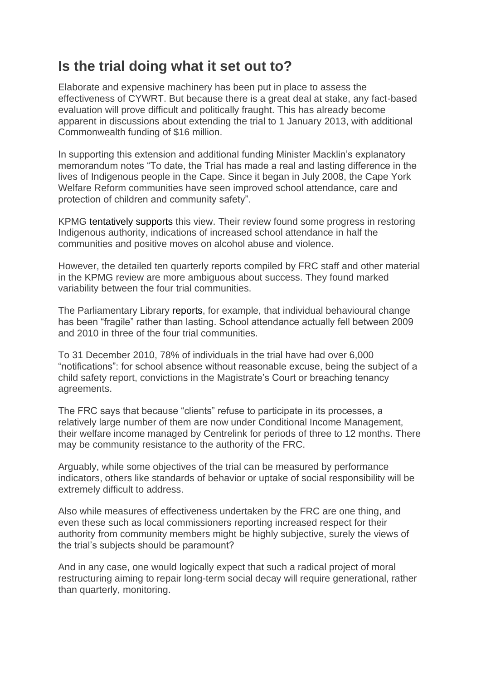### **Is the trial doing what it set out to?**

Elaborate and expensive machinery has been put in place to assess the effectiveness of CYWRT. But because there is a great deal at stake, any fact-based evaluation will prove difficult and politically fraught. This has already become apparent in discussions about extending the trial to 1 January 2013, with additional Commonwealth funding of \$16 million.

In supporting this extension and additional funding Minister Macklin's explanatory memorandum notes "To date, the Trial has made a real and lasting difference in the lives of Indigenous people in the Cape. Since it began in July 2008, the Cape York Welfare Reform communities have seen improved school attendance, care and protection of children and community safety".

KPMG tentatively supports this view. Their review found some progress in restoring Indigenous authority, indications of increased school attendance in half the communities and positive moves on alcohol abuse and violence.

However, the detailed ten quarterly reports compiled by FRC staff and other material in the KPMG review are more ambiguous about success. They found marked variability between the four trial communities.

The Parliamentary Library reports, for example, that individual behavioural change has been "fragile" rather than lasting. School attendance actually fell between 2009 and 2010 in three of the four trial communities.

To 31 December 2010, 78% of individuals in the trial have had over 6,000 "notifications": for school absence without reasonable excuse, being the subject of a child safety report, convictions in the Magistrate's Court or breaching tenancy agreements.

The FRC says that because "clients" refuse to participate in its processes, a relatively large number of them are now under Conditional Income Management, their welfare income managed by Centrelink for periods of three to 12 months. There may be community resistance to the authority of the FRC.

Arguably, while some objectives of the trial can be measured by performance indicators, others like standards of behavior or uptake of social responsibility will be extremely difficult to address.

Also while measures of effectiveness undertaken by the FRC are one thing, and even these such as local commissioners reporting increased respect for their authority from community members might be highly subjective, surely the views of the trial's subjects should be paramount?

And in any case, one would logically expect that such a radical project of moral restructuring aiming to repair long-term social decay will require generational, rather than quarterly, monitoring.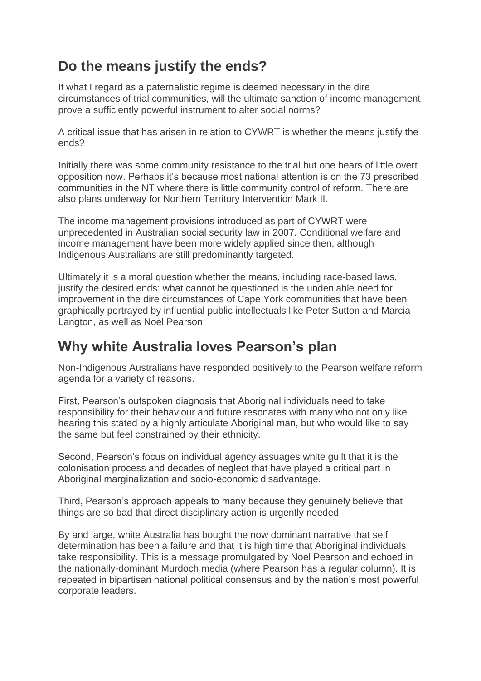# **Do the means justify the ends?**

If what I regard as a paternalistic regime is deemed necessary in the dire circumstances of trial communities, will the ultimate sanction of income management prove a sufficiently powerful instrument to alter social norms?

A critical issue that has arisen in relation to CYWRT is whether the means justify the ends?

Initially there was some community resistance to the trial but one hears of little overt opposition now. Perhaps it's because most national attention is on the 73 prescribed communities in the NT where there is little community control of reform. There are also plans underway for Northern Territory Intervention Mark II.

The income management provisions introduced as part of CYWRT were unprecedented in Australian social security law in 2007. Conditional welfare and income management have been more widely applied since then, although Indigenous Australians are still predominantly targeted.

Ultimately it is a moral question whether the means, including race-based laws, justify the desired ends: what cannot be questioned is the undeniable need for improvement in the dire circumstances of Cape York communities that have been graphically portrayed by influential public intellectuals like Peter Sutton and Marcia Langton, as well as Noel Pearson.

## **Why white Australia loves Pearson's plan**

Non-Indigenous Australians have responded positively to the Pearson welfare reform agenda for a variety of reasons.

First, Pearson's outspoken diagnosis that Aboriginal individuals need to take responsibility for their behaviour and future resonates with many who not only like hearing this stated by a highly articulate Aboriginal man, but who would like to say the same but feel constrained by their ethnicity.

Second, Pearson's focus on individual agency assuages white guilt that it is the colonisation process and decades of neglect that have played a critical part in Aboriginal marginalization and socio-economic disadvantage.

Third, Pearson's approach appeals to many because they genuinely believe that things are so bad that direct disciplinary action is urgently needed.

By and large, white Australia has bought the now dominant narrative that self determination has been a failure and that it is high time that Aboriginal individuals take responsibility. This is a message promulgated by Noel Pearson and echoed in the nationally-dominant Murdoch media (where Pearson has a regular column). It is repeated in bipartisan national political consensus and by the nation's most powerful corporate leaders.